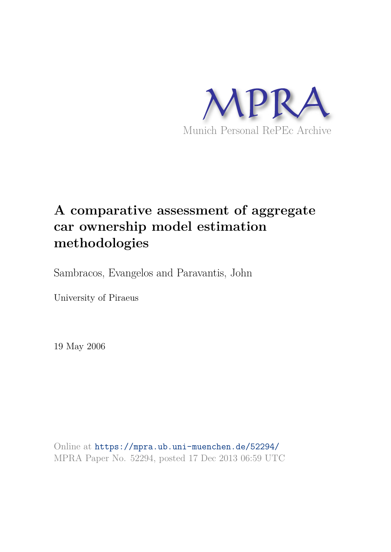

# **A comparative assessment of aggregate car ownership model estimation methodologies**

Sambracos, Evangelos and Paravantis, John

University of Piraeus

19 May 2006

Online at https://mpra.ub.uni-muenchen.de/52294/ MPRA Paper No. 52294, posted 17 Dec 2013 06:59 UTC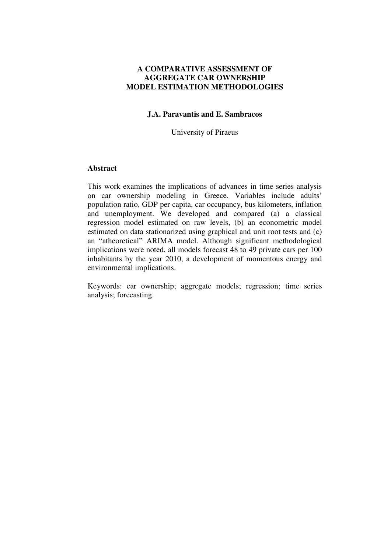# **A COMPARATIVE ASSESSMENT OF AGGREGATE CAR OWNERSHIP MODEL ESTIMATION METHODOLOGIES**

# **J.A. Paravantis and E. Sambracos**

University of Piraeus

# **Abstract**

This work examines the implications of advances in time series analysis on car ownership modeling in Greece. Variables include adults' population ratio, GDP per capita, car occupancy, bus kilometers, inflation and unemployment. We developed and compared (a) a classical regression model estimated on raw levels, (b) an econometric model estimated on data stationarized using graphical and unit root tests and (c) an "atheoretical" ARIMA model. Although significant methodological implications were noted, all models forecast 48 to 49 private cars per 100 inhabitants by the year 2010, a development of momentous energy and environmental implications.

Keywords: car ownership; aggregate models; regression; time series analysis; forecasting.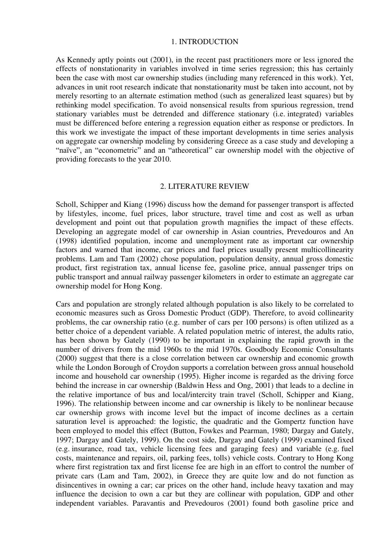#### 1. INTRODUCTION

As Kennedy aptly points out (2001), in the recent past practitioners more or less ignored the effects of nonstationarity in variables involved in time series regression; this has certainly been the case with most car ownership studies (including many referenced in this work). Yet, advances in unit root research indicate that nonstationarity must be taken into account, not by merely resorting to an alternate estimation method (such as generalized least squares) but by rethinking model specification. To avoid nonsensical results from spurious regression, trend stationary variables must be detrended and difference stationary (i.e. integrated) variables must be differenced before entering a regression equation either as response or predictors. In this work we investigate the impact of these important developments in time series analysis on aggregate car ownership modeling by considering Greece as a case study and developing a "naïve", an "econometric" and an "atheoretical" car ownership model with the objective of providing forecasts to the year 2010.

#### 2. LITERATURE REVIEW

Scholl, Schipper and Kiang (1996) discuss how the demand for passenger transport is affected by lifestyles, income, fuel prices, labor structure, travel time and cost as well as urban development and point out that population growth magnifies the impact of these effects. Developing an aggregate model of car ownership in Asian countries, Prevedouros and An (1998) identified population, income and unemployment rate as important car ownership factors and warned that income, car prices and fuel prices usually present multicollinearity problems. Lam and Tam (2002) chose population, population density, annual gross domestic product, first registration tax, annual license fee, gasoline price, annual passenger trips on public transport and annual railway passenger kilometers in order to estimate an aggregate car ownership model for Hong Kong.

Cars and population are strongly related although population is also likely to be correlated to economic measures such as Gross Domestic Product (GDP). Therefore, to avoid collinearity problems, the car ownership ratio (e.g. number of cars per 100 persons) is often utilized as a better choice of a dependent variable. A related population metric of interest, the adults ratio, has been shown by Gately (1990) to be important in explaining the rapid growth in the number of drivers from the mid 1960s to the mid 1970s. Goodbody Economic Consultants (2000) suggest that there is a close correlation between car ownership and economic growth while the London Borough of Croydon supports a correlation between gross annual household income and household car ownership (1995). Higher income is regarded as the driving force behind the increase in car ownership (Baldwin Hess and Ong, 2001) that leads to a decline in the relative importance of bus and local/intercity train travel (Scholl, Schipper and Kiang, 1996). The relationship between income and car ownership is likely to be nonlinear because car ownership grows with income level but the impact of income declines as a certain saturation level is approached: the logistic, the quadratic and the Gompertz function have been employed to model this effect (Button, Fowkes and Pearman, 1980; Dargay and Gately, 1997; Dargay and Gately, 1999). On the cost side, Dargay and Gately (1999) examined fixed (e.g. insurance, road tax, vehicle licensing fees and garaging fees) and variable (e.g. fuel costs, maintenance and repairs, oil, parking fees, tolls) vehicle costs. Contrary to Hong Kong where first registration tax and first license fee are high in an effort to control the number of private cars (Lam and Tam, 2002), in Greece they are quite low and do not function as disincentives in owning a car; car prices on the other hand, include heavy taxation and may influence the decision to own a car but they are collinear with population, GDP and other independent variables. Paravantis and Prevedouros (2001) found both gasoline price and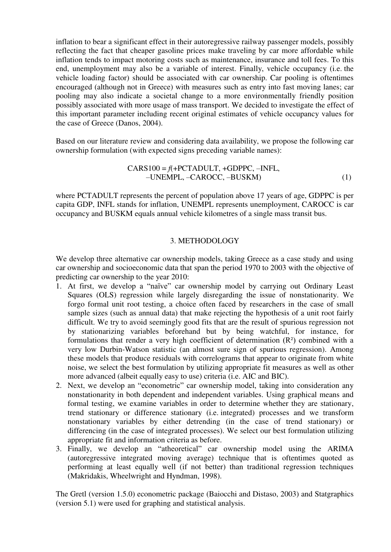inflation to bear a significant effect in their autoregressive railway passenger models, possibly reflecting the fact that cheaper gasoline prices make traveling by car more affordable while inflation tends to impact motoring costs such as maintenance, insurance and toll fees. To this end, unemployment may also be a variable of interest. Finally, vehicle occupancy (i.e. the vehicle loading factor) should be associated with car ownership. Car pooling is oftentimes encouraged (although not in Greece) with measures such as entry into fast moving lanes; car pooling may also indicate a societal change to a more environmentally friendly position possibly associated with more usage of mass transport. We decided to investigate the effect of this important parameter including recent original estimates of vehicle occupancy values for the case of Greece (Danos, 2004).

Based on our literature review and considering data availability, we propose the following car ownership formulation (with expected signs preceding variable names):

$$
CARS100 = f(+PCTADULT, +GDPPC, -INFL,-UNEMPL, -CAROCC, -BUSKM)
$$
\n(1)

where PCTADULT represents the percent of population above 17 years of age, GDPPC is per capita GDP, INFL stands for inflation, UNEMPL represents unemployment, CAROCC is car occupancy and BUSKM equals annual vehicle kilometres of a single mass transit bus.

# 3. METHODOLOGY

We develop three alternative car ownership models, taking Greece as a case study and using car ownership and socioeconomic data that span the period 1970 to 2003 with the objective of predicting car ownership to the year 2010:

- 1. At first, we develop a "naïve" car ownership model by carrying out Ordinary Least Squares (OLS) regression while largely disregarding the issue of nonstationarity. We forgo formal unit root testing, a choice often faced by researchers in the case of small sample sizes (such as annual data) that make rejecting the hypothesis of a unit root fairly difficult. We try to avoid seemingly good fits that are the result of spurious regression not by stationarizing variables beforehand but by being watchful, for instance, for formulations that render a very high coefficient of determination (R²) combined with a very low Durbin-Watson statistic (an almost sure sign of spurious regression). Among these models that produce residuals with correlograms that appear to originate from white noise, we select the best formulation by utilizing appropriate fit measures as well as other more advanced (albeit equally easy to use) criteria (i.e. AIC and BIC).
- 2. Next, we develop an "econometric" car ownership model, taking into consideration any nonstationarity in both dependent and independent variables. Using graphical means and formal testing, we examine variables in order to determine whether they are stationary, trend stationary or difference stationary (i.e. integrated) processes and we transform nonstationary variables by either detrending (in the case of trend stationary) or differencing (in the case of integrated processes). We select our best formulation utilizing appropriate fit and information criteria as before.
- 3. Finally, we develop an "atheoretical" car ownership model using the ARIMA (autoregressive integrated moving average) technique that is oftentimes quoted as performing at least equally well (if not better) than traditional regression techniques (Makridakis, Wheelwright and Hyndman, 1998).

The Gretl (version 1.5.0) econometric package (Baiocchi and Distaso, 2003) and Statgraphics (version 5.1) were used for graphing and statistical analysis.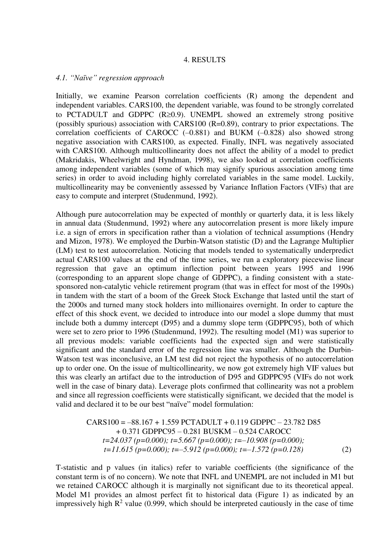#### 4. RESULTS

# *4.1. "Naïve" regression approach*

Initially, we examine Pearson correlation coefficients (R) among the dependent and independent variables. CARS100, the dependent variable, was found to be strongly correlated to PCTADULT and GDPPC  $(R\geq 0.9)$ . UNEMPL showed an extremely strong positive (possibly spurious) association with CARS100 (R=0.89), contrary to prior expectations. The correlation coefficients of CAROCC (–0.881) and BUKM (–0.828) also showed strong negative association with CARS100, as expected. Finally, INFL was negatively associated with CARS100. Although multicollinearity does not affect the ability of a model to predict (Makridakis, Wheelwright and Hyndman, 1998), we also looked at correlation coefficients among independent variables (some of which may signify spurious association among time series) in order to avoid including highly correlated variables in the same model. Luckily, multicollinearity may be conveniently assessed by Variance Inflation Factors (VIFs) that are easy to compute and interpret (Studenmund, 1992).

Although pure autocorrelation may be expected of monthly or quarterly data, it is less likely in annual data (Studenmund, 1992) where any autocorrelation present is more likely impure i.e. a sign of errors in specification rather than a violation of technical assumptions (Hendry and Mizon, 1978). We employed the Durbin-Watson statistic (D) and the Lagrange Multiplier (LM) test to test autocorrelation. Noticing that models tended to systematically underpredict actual CARS100 values at the end of the time series, we run a exploratory piecewise linear regression that gave an optimum inflection point between years 1995 and 1996 (corresponding to an apparent slope change of GDPPC), a finding consistent with a statesponsored non-catalytic vehicle retirement program (that was in effect for most of the 1990s) in tandem with the start of a boom of the Greek Stock Exchange that lasted until the start of the 2000s and turned many stock holders into millionaires overnight. In order to capture the effect of this shock event, we decided to introduce into our model a slope dummy that must include both a dummy intercept (D95) and a dummy slope term (GDPPC95), both of which were set to zero prior to 1996 (Studenmund, 1992). The resulting model (M1) was superior to all previous models: variable coefficients had the expected sign and were statistically significant and the standard error of the regression line was smaller. Although the Durbin-Watson test was inconclusive, an LM test did not reject the hypothesis of no autocorrelation up to order one. On the issue of multicollinearity, we now got extremely high VIF values but this was clearly an artifact due to the introduction of D95 and GDPPC95 (VIFs do not work well in the case of binary data). Leverage plots confirmed that collinearity was not a problem and since all regression coefficients were statistically significant, we decided that the model is valid and declared it to be our best "naïve" model formulation:

$$
CARS100 = -88.167 + 1.559 PCTADULT + 0.119 GDPPC − 23.782 D85 + 0.371 GDPPC95 − 0.281 BUSKM − 0.524 CAROCC t=24.037 (p=0.000); t=5.667 (p=0.000); t=−10.908 (p=0.000); t=11.615 (p=0.000); t=−5.912 (p=0.000); t=−1.572 (p=0.128)
$$
\n(2)

T-statistic and p values (in italics) refer to variable coefficients (the significance of the constant term is of no concern). We note that INFL and UNEMPL are not included in M1 but we retained CAROCC although it is marginally not significant due to its theoretical appeal. Model M1 provides an almost perfect fit to historical data (Figure 1) as indicated by an impressively high  $R^2$  value (0.999, which should be interpreted cautiously in the case of time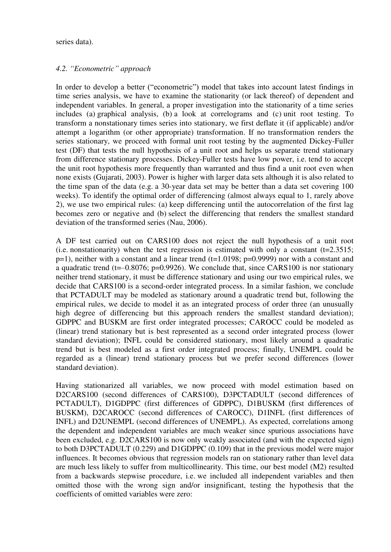series data).

# *4.2. "Econometric" approach*

In order to develop a better ("econometric") model that takes into account latest findings in time series analysis, we have to examine the stationarity (or lack thereof) of dependent and independent variables. In general, a proper investigation into the stationarity of a time series includes (a) graphical analysis, (b) a look at correlograms and (c) unit root testing. To transform a nonstationary times series into stationary, we first deflate it (if applicable) and/or attempt a logarithm (or other appropriate) transformation. If no transformation renders the series stationary, we proceed with formal unit root testing by the augmented Dickey-Fuller test (DF) that tests the null hypothesis of a unit root and helps us separate trend stationary from difference stationary processes. Dickey-Fuller tests have low power, i.e. tend to accept the unit root hypothesis more frequently than warranted and thus find a unit root even when none exists (Gujarati, 2003). Power is higher with larger data sets although it is also related to the time span of the data (e.g. a 30-year data set may be better than a data set covering 100 weeks). To identify the optimal order of differencing (almost always equal to 1, rarely above 2), we use two empirical rules: (a) keep differencing until the autocorrelation of the first lag becomes zero or negative and (b) select the differencing that renders the smallest standard deviation of the transformed series (Nau, 2006).

A DF test carried out on CARS100 does not reject the null hypothesis of a unit root (i.e. nonstationarity) when the test regression is estimated with only a constant  $(t=2.3515;$  $p=1$ ), neither with a constant and a linear trend (t=1.0198;  $p=0.9999$ ) nor with a constant and a quadratic trend ( $t=-0.8076$ ; p=0.9926). We conclude that, since CARS100 is nor stationary neither trend stationary, it must be difference stationary and using our two empirical rules, we decide that CARS100 is a second-order integrated process. In a similar fashion, we conclude that PCTADULT may be modeled as stationary around a quadratic trend but, following the empirical rules, we decide to model it as an integrated process of order three (an unusually high degree of differencing but this approach renders the smallest standard deviation); GDPPC and BUSKM are first order integrated processes; CAROCC could be modeled as (linear) trend stationary but is best represented as a second order integrated process (lower standard deviation); INFL could be considered stationary, most likely around a quadratic trend but is best modeled as a first order integrated process; finally, UNEMPL could be regarded as a (linear) trend stationary process but we prefer second differences (lower standard deviation).

Having stationarized all variables, we now proceed with model estimation based on D2CARS100 (second differences of CARS100), D3PCTADULT (second differences of PCTADULT), D1GDPPC (first differences of GDPPC), D1BUSKM (first differences of BUSKM), D2CAROCC (second differences of CAROCC), D1INFL (first differences of INFL) and D2UNEMPL (second differences of UNEMPL). As expected, correlations among the dependent and independent variables are much weaker since spurious associations have been excluded, e.g. D2CARS100 is now only weakly associated (and with the expected sign) to both D3PCTADULT (0.229) and D1GDPPC (0.109) that in the previous model were major influences. It becomes obvious that regression models ran on stationary rather than level data are much less likely to suffer from multicollinearity. This time, our best model (M2) resulted from a backwards stepwise procedure, i.e. we included all independent variables and then omitted those with the wrong sign and/or insignificant, testing the hypothesis that the coefficients of omitted variables were zero: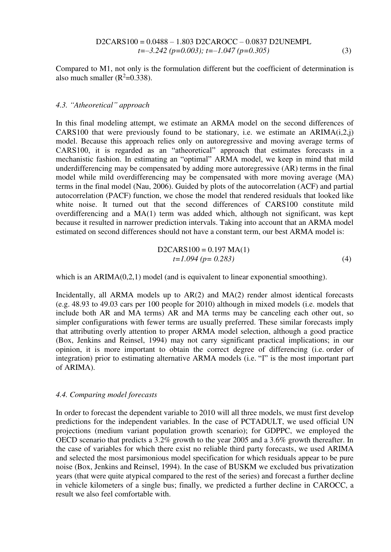D2CARS100 = 0.0488 – 1.803 D2CAROCC – 0.0837 D2UNEMPL *t=–3.242 (p=0.003); t=–1.047 (p=0.305)* (3)

Compared to M1, not only is the formulation different but the coefficient of determination is also much smaller  $(R^2=0.338)$ .

### *4.3. "Atheoretical" approach*

In this final modeling attempt, we estimate an ARMA model on the second differences of CARS100 that were previously found to be stationary, i.e. we estimate an  $ARIMA(i,2,j)$ model. Because this approach relies only on autoregressive and moving average terms of CARS100, it is regarded as an "atheoretical" approach that estimates forecasts in a mechanistic fashion. In estimating an "optimal" ARMA model, we keep in mind that mild underdifferencing may be compensated by adding more autoregressive (AR) terms in the final model while mild overdifferencing may be compensated with more moving average (MA) terms in the final model (Nau, 2006). Guided by plots of the autocorrelation (ACF) and partial autocorrelation (PACF) function, we chose the model that rendered residuals that looked like white noise. It turned out that the second differences of CARS100 constitute mild overdifferencing and a MA(1) term was added which, although not significant, was kept because it resulted in narrower prediction intervals. Taking into account that an ARMA model estimated on second differences should not have a constant term, our best ARMA model is:

D2CARS100 = 0.197 MA(1)  
\n
$$
t=1.094 (p= 0.283)
$$
 (4)

which is an ARIMA(0,2,1) model (and is equivalent to linear exponential smoothing).

Incidentally, all ARMA models up to AR(2) and MA(2) render almost identical forecasts (e.g. 48.93 to 49.03 cars per 100 people for 2010) although in mixed models (i.e. models that include both AR and MA terms) AR and MA terms may be canceling each other out, so simpler configurations with fewer terms are usually preferred. These similar forecasts imply that attributing overly attention to proper ARMA model selection, although a good practice (Box, Jenkins and Reinsel, 1994) may not carry significant practical implications; in our opinion, it is more important to obtain the correct degree of differencing (i.e. order of integration) prior to estimating alternative ARMA models (i.e. "I" is the most important part of ARIMA).

# *4.4. Comparing model forecasts*

In order to forecast the dependent variable to 2010 will all three models, we must first develop predictions for the independent variables. In the case of PCTADULT, we used official UN projections (medium variant population growth scenario); for GDPPC, we employed the OECD scenario that predicts a 3.2% growth to the year 2005 and a 3.6% growth thereafter. In the case of variables for which there exist no reliable third party forecasts, we used ARIMA and selected the most parsimonious model specification for which residuals appear to be pure noise (Box, Jenkins and Reinsel, 1994). In the case of BUSKM we excluded bus privatization years (that were quite atypical compared to the rest of the series) and forecast a further decline in vehicle kilometers of a single bus; finally, we predicted a further decline in CAROCC, a result we also feel comfortable with.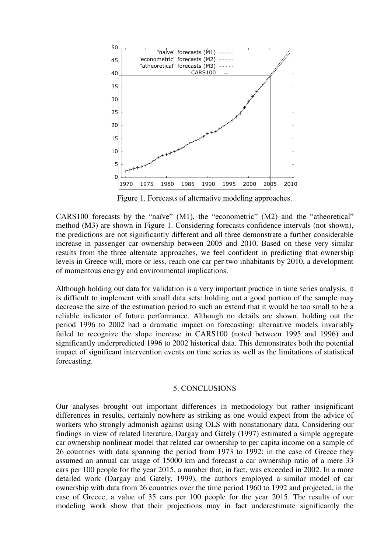

Figure 1. Forecasts of alternative modeling approaches.

CARS100 forecasts by the "naïve" (M1), the "econometric" (M2) and the "atheoretical" method (M3) are shown in Figure 1. Considering forecasts confidence intervals (not shown), the predictions are not significantly different and all three demonstrate a further considerable increase in passenger car ownership between 2005 and 2010. Based on these very similar results from the three alternate approaches, we feel confident in predicting that ownership levels in Greece will, more or less, reach one car per two inhabitants by 2010, a development of momentous energy and environmental implications.

Although holding out data for validation is a very important practice in time series analysis, it is difficult to implement with small data sets: holding out a good portion of the sample may decrease the size of the estimation period to such an extend that it would be too small to be a reliable indicator of future performance. Although no details are shown, holding out the period 1996 to 2002 had a dramatic impact on forecasting: alternative models invariably failed to recognize the slope increase in CARS100 (noted between 1995 and 1996) and significantly underpredicted 1996 to 2002 historical data. This demonstrates both the potential impact of significant intervention events on time series as well as the limitations of statistical forecasting.

#### 5. CONCLUSIONS

Our analyses brought out important differences in methodology but rather insignificant differences in results, certainly nowhere as striking as one would expect from the advice of workers who strongly admonish against using OLS with nonstationary data. Considering our findings in view of related literature, Dargay and Gately (1997) estimated a simple aggregate car ownership nonlinear model that related car ownership to per capita income on a sample of 26 countries with data spanning the period from 1973 to 1992: in the case of Greece they assumed an annual car usage of 15000 km and forecast a car ownership ratio of a mere 33 cars per 100 people for the year 2015, a number that, in fact, was exceeded in 2002. In a more detailed work (Dargay and Gately, 1999), the authors employed a similar model of car ownership with data from 26 countries over the time period 1960 to 1992 and projected, in the case of Greece, a value of 35 cars per 100 people for the year 2015. The results of our modeling work show that their projections may in fact underestimate significantly the